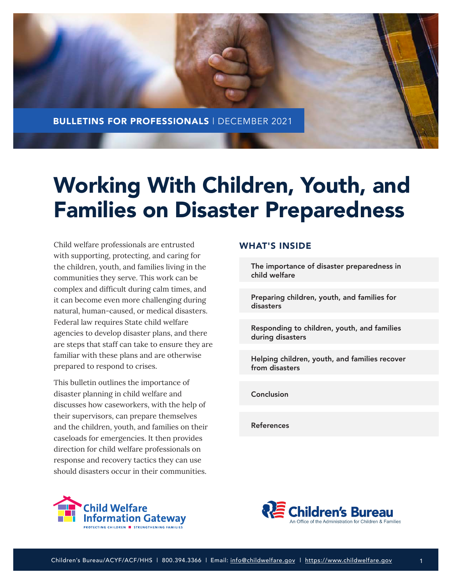

# Working With Children, Youth, and Families on Disaster Preparedness

Child welfare professionals are entrusted with supporting, protecting, and caring for the children, youth, and families living in the communities they serve. This work can be complex and difficult during calm times, and it can become even more challenging during natural, human-caused, or medical disasters. Federal law requires State child welfare agencies to develop disaster plans, and there are steps that staff can take to ensure they are familiar with these plans and are otherwise prepared to respond to crises.

This bulletin outlines the importance of disaster planning in child welfare and discusses how caseworkers, with the help of their supervisors, can prepare themselves and the children, youth, and families on their caseloads for emergencies. It then provides direction for child welfare professionals on response and recovery tactics they can use should disasters occur in their communities.

# WHAT'S INSIDE

[The importance of disaster preparedness in](#page-1-0)  child welfare

[Preparing children, youth, and families for](#page-2-0) disasters

[Responding to children, youth, and families](#page-9-0) during disasters

[Helping children, youth, and families recover](#page-14-0)  from disasters

[Conclusion](#page-19-0)

[References](#page-19-0)



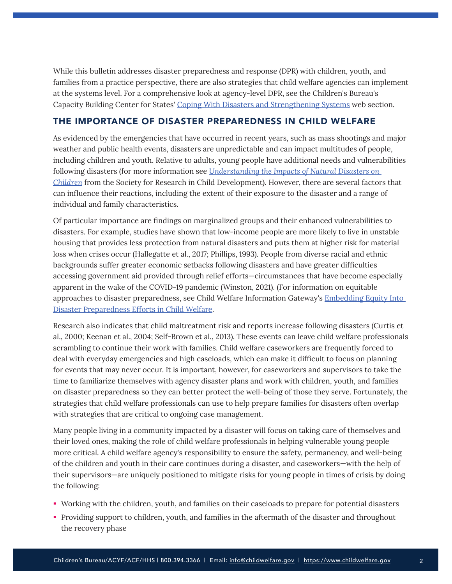<span id="page-1-0"></span>While this bulletin addresses disaster preparedness and response (DPR) with children, youth, and families from a practice perspective, there are also strategies that child welfare agencies can implement at the systems level. For a comprehensive look at agency-level DPR, see the Children's Bureau's Capacity Building Center for States' [Coping With Disasters and Strengthening Systems](https://capacity.childwelfare.gov/states/coping-with-disasters-and-strengthening-systems) web section.

# THE IMPORTANCE OF DISASTER PREPAREDNESS IN CHILD WELFARE

As evidenced by the emergencies that have occurred in recent years, such as mass shootings and major weather and public health events, disasters are unpredictable and can impact multitudes of people, including children and youth. Relative to adults, young people have additional needs and vulnerabilities following disasters (for more information see *[Understanding the Impacts of Natural Disasters on](https://www.srcd.org/research/understanding-impacts-natural-disasters-children)  [Children](https://www.srcd.org/research/understanding-impacts-natural-disasters-children)* from the Society for Research in Child Development). However, there are several factors that can influence their reactions, including the extent of their exposure to the disaster and a range of individual and family characteristics.

Of particular importance are findings on marginalized groups and their enhanced vulnerabilities to disasters. For example, studies have shown that low-income people are more likely to live in unstable housing that provides less protection from natural disasters and puts them at higher risk for material loss when crises occur (Hallegatte et al., 2017; Phillips, 1993). People from diverse racial and ethnic backgrounds suffer greater economic setbacks following disasters and have greater difficulties accessing government aid provided through relief efforts—circumstances that have become especially apparent in the wake of the COVID-19 pandemic (Winston, 2021). (For information on equitable approaches to disaster preparedness, see Child Welfare Information Gateway's [Embedding Equity Into](https://www.childwelfare.gov/pubs/factsheets/equity-disaster-preparedness/)  [Disaster Preparedness Efforts in Child Welfare.](https://www.childwelfare.gov/pubs/factsheets/equity-disaster-preparedness/)

Research also indicates that child maltreatment risk and reports increase following disasters (Curtis et al., 2000; Keenan et al., 2004; Self-Brown et al., 2013). These events can leave child welfare professionals scrambling to continue their work with families. Child welfare caseworkers are frequently forced to deal with everyday emergencies and high caseloads, which can make it difficult to focus on planning for events that may never occur. It is important, however, for caseworkers and supervisors to take the time to familiarize themselves with agency disaster plans and work with children, youth, and families on disaster preparedness so they can better protect the well-being of those they serve. Fortunately, the strategies that child welfare professionals can use to help prepare families for disasters often overlap with strategies that are critical to ongoing case management.

Many people living in a community impacted by a disaster will focus on taking care of themselves and their loved ones, making the role of child welfare professionals in helping vulnerable young people more critical. A child welfare agency's responsibility to ensure the safety, permanency, and well-being of the children and youth in their care continues during a disaster, and caseworkers—with the help of their supervisors—are uniquely positioned to mitigate risks for young people in times of crisis by doing the following:

- Working with the children, youth, and families on their caseloads to prepare for potential disasters
- Providing support to children, youth, and families in the aftermath of the disaster and throughout the recovery phase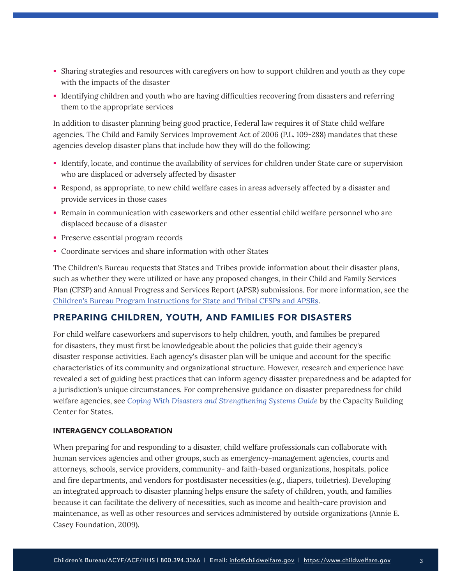- <span id="page-2-0"></span> Sharing strategies and resources with caregivers on how to support children and youth as they cope with the impacts of the disaster
- Identifying children and youth who are having difficulties recovering from disasters and referring them to the appropriate services

In addition to disaster planning being good practice, Federal law requires it of State child welfare agencies. The Child and Family Services Improvement Act of 2006 (P.L. 109-288) mandates that these agencies develop disaster plans that include how they will do the following:

- Identify, locate, and continue the availability of services for children under State care or supervision who are displaced or adversely affected by disaster
- Respond, as appropriate, to new child welfare cases in areas adversely affected by a disaster and provide services in those cases
- Remain in communication with caseworkers and other essential child welfare personnel who are displaced because of a disaster
- **Preserve essential program records**
- Coordinate services and share information with other States

The Children's Bureau requests that States and Tribes provide information about their disaster plans, such as whether they were utilized or have any proposed changes, in their Child and Family Services Plan (CFSP) and Annual Progress and Services Report (APSR) submissions. For more information, see the [Children's Bureau Program Instructions for State and Tribal CFSPs and APSRs](https://www.acf.hhs.gov/cb/laws-policies/program-instructions).

# PREPARING CHILDREN, YOUTH, AND FAMILIES FOR DISASTERS

For child welfare caseworkers and supervisors to help children, youth, and families be prepared for disasters, they must first be knowledgeable about the policies that guide their agency's disaster response activities. Each agency's disaster plan will be unique and account for the specific characteristics of its community and organizational structure. However, research and experience have revealed a set of guiding best practices that can inform agency disaster preparedness and be adapted for a jurisdiction's unique circumstances. For comprehensive guidance on disaster preparedness for child welfare agencies, see *[Coping With Disasters and Strengthening Systems Guide](https://capacity.childwelfare.gov/states/resources/coping-guide)* by the Capacity Building Center for States.

## INTERAGENCY COLLABORATION

When preparing for and responding to a disaster, child welfare professionals can collaborate with human services agencies and other groups, such as emergency-management agencies, courts and attorneys, schools, service providers, community- and faith-based organizations, hospitals, police and fire departments, and vendors for postdisaster necessities (e.g., diapers, toiletries). Developing an integrated approach to disaster planning helps ensure the safety of children, youth, and families because it can facilitate the delivery of necessities, such as income and health-care provision and maintenance, as well as other resources and services administered by outside organizations (Annie E. Casey Foundation, 2009).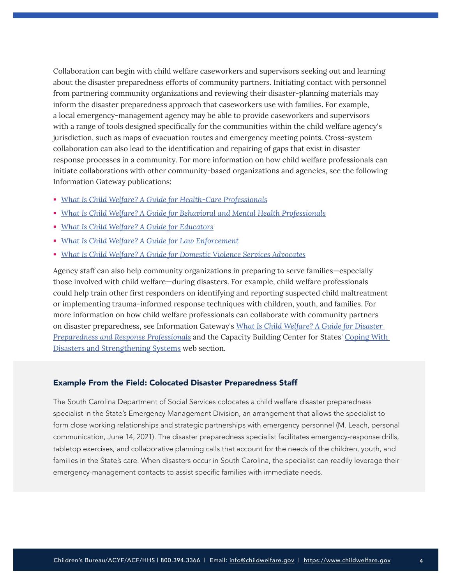Collaboration can begin with child welfare caseworkers and supervisors seeking out and learning about the disaster preparedness efforts of community partners. Initiating contact with personnel from partnering community organizations and reviewing their disaster-planning materials may inform the disaster preparedness approach that caseworkers use with families. For example, a local emergency-management agency may be able to provide caseworkers and supervisors with a range of tools designed specifically for the communities within the child welfare agency's jurisdiction, such as maps of evacuation routes and emergency meeting points. Cross-system collaboration can also lead to the identification and repairing of gaps that exist in disaster response processes in a community. For more information on how child welfare professionals can initiate collaborations with other community-based organizations and agencies, see the following Information Gateway publications:

- *[What Is Child Welfare? A Guide for Health-Care Professionals](https://www.childwelfare.gov/pubs/cw-healthcare/)*
- *[What Is Child Welfare? A Guide for Behavioral and Mental Health Professionals](https://www.childwelfare.gov/pubs/cw-mentalhealth/)*
- *[What Is Child Welfare? A Guide for Educators](https://www.childwelfare.gov/pubs/cw-educators/)*
- *[What Is Child Welfare? A Guide for Law Enforcement](https://www.childwelfare.gov/pubs/cw-law-enforcement/)*
- *[What Is Child Welfare? A Guide for Domestic Violence Services Advocates](https://www.childwelfare.gov/pubs/cw-domestic-violence/)*

Agency staff can also help community organizations in preparing to serve families—especially those involved with child welfare—during disasters. For example, child welfare professionals could help train other first responders on identifying and reporting suspected child maltreatment or implementing trauma-informed response techniques with children, youth, and families. For more information on how child welfare professionals can collaborate with community partners on disaster preparedness, see Information Gateway's *[What Is Child Welfare? A Guide for Disaster](https://www.childwelfare.gov/pubs/cw-disaster-preparedness/)  [Preparedness and Response Professionals](https://www.childwelfare.gov/pubs/cw-disaster-preparedness/)* and the Capacity Building Center for States' [Coping With](https://capacity.childwelfare.gov/states/coping-with-disasters-and-strengthening-systems)  [Disasters and Strengthening Systems](https://capacity.childwelfare.gov/states/coping-with-disasters-and-strengthening-systems) web section.

## Example From the Field: Colocated Disaster Preparedness Staff

The South Carolina Department of Social Services colocates a child welfare disaster preparedness specialist in the State's Emergency Management Division, an arrangement that allows the specialist to form close working relationships and strategic partnerships with emergency personnel (M. Leach, personal communication, June 14, 2021). The disaster preparedness specialist facilitates emergency-response drills, tabletop exercises, and collaborative planning calls that account for the needs of the children, youth, and families in the State's care. When disasters occur in South Carolina, the specialist can readily leverage their emergency-management contacts to assist specific families with immediate needs.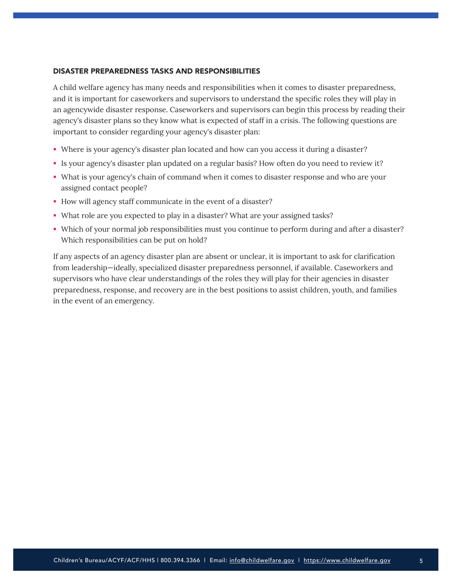## DISASTER PREPAREDNESS TASKS AND RESPONSIBILITIES

A child welfare agency has many needs and responsibilities when it comes to disaster preparedness, and it is important for caseworkers and supervisors to understand the specific roles they will play in an agencywide disaster response. Caseworkers and supervisors can begin this process by reading their agency's disaster plans so they know what is expected of staff in a crisis. The following questions are important to consider regarding your agency's disaster plan:

- Where is your agency's disaster plan located and how can you access it during a disaster?
- Is your agency's disaster plan updated on a regular basis? How often do you need to review it?
- What is your agency's chain of command when it comes to disaster response and who are your assigned contact people?
- How will agency staff communicate in the event of a disaster?
- What role are you expected to play in a disaster? What are your assigned tasks?
- Which of your normal job responsibilities must you continue to perform during and after a disaster? Which responsibilities can be put on hold?

If any aspects of an agency disaster plan are absent or unclear, it is important to ask for clarification from leadership—ideally, specialized disaster preparedness personnel, if available. Caseworkers and supervisors who have clear understandings of the roles they will play for their agencies in disaster preparedness, response, and recovery are in the best positions to assist children, youth, and families in the event of an emergency.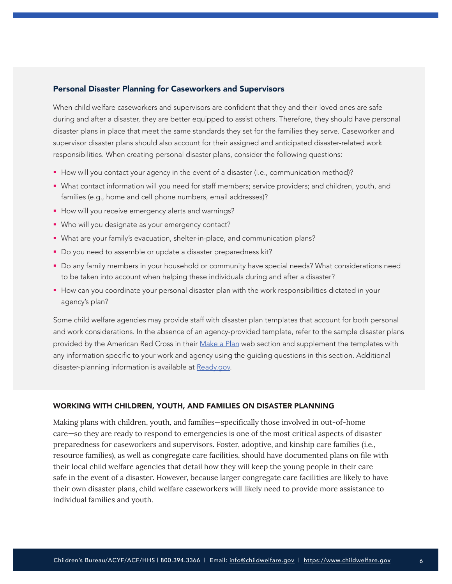## Personal Disaster Planning for Caseworkers and Supervisors

When child welfare caseworkers and supervisors are confident that they and their loved ones are safe during and after a disaster, they are better equipped to assist others. Therefore, they should have personal disaster plans in place that meet the same standards they set for the families they serve. Caseworker and supervisor disaster plans should also account for their assigned and anticipated disaster-related work responsibilities. When creating personal disaster plans, consider the following questions:

- How will you contact your agency in the event of a disaster (i.e., communication method)?
- What contact information will you need for staff members; service providers; and children, youth, and families (e.g., home and cell phone numbers, email addresses)?
- How will you receive emergency alerts and warnings?
- Who will you designate as your emergency contact?
- What are your family's evacuation, shelter-in-place, and communication plans?
- Do you need to assemble or update a disaster preparedness kit?
- Do any family members in your household or community have special needs? What considerations need to be taken into account when helping these individuals during and after a disaster?
- **How can you coordinate your personal disaster plan with the work responsibilities dictated in your** agency's plan?

Some child welfare agencies may provide staff with disaster plan templates that account for both personal and work considerations. In the absence of an agency-provided template, refer to the sample disaster plans provided by the American Red Cross in their [Make a Plan](https://www.redcross.org/get-help/how-to-prepare-for-emergencies/make-a-plan.html) web section and supplement the templates with any information specific to your work and agency using the guiding questions in this section. Additional disaster-planning information is available at [Ready.gov.](https://www.ready.gov/)

#### WORKING WITH CHILDREN, YOUTH, AND FAMILIES ON DISASTER PLANNING

Making plans with children, youth, and families—specifically those involved in out-of-home care—so they are ready to respond to emergencies is one of the most critical aspects of disaster preparedness for caseworkers and supervisors. Foster, adoptive, and kinship care families (i.e., resource families), as well as congregate care facilities, should have documented plans on file with their local child welfare agencies that detail how they will keep the young people in their care safe in the event of a disaster. However, because larger congregate care facilities are likely to have their own disaster plans, child welfare caseworkers will likely need to provide more assistance to individual families and youth.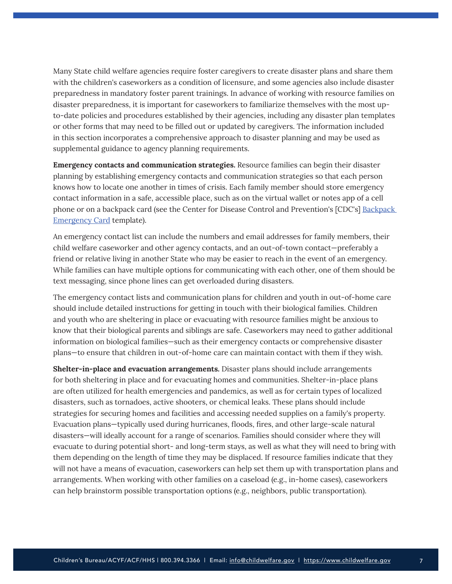Many State child welfare agencies require foster caregivers to create disaster plans and share them with the children's caseworkers as a condition of licensure, and some agencies also include disaster preparedness in mandatory foster parent trainings. In advance of working with resource families on disaster preparedness, it is important for caseworkers to familiarize themselves with the most upto-date policies and procedures established by their agencies, including any disaster plan templates or other forms that may need to be filled out or updated by caregivers. The information included in this section incorporates a comprehensive approach to disaster planning and may be used as supplemental guidance to agency planning requirements.

**Emergency contacts and communication strategies.** Resource families can begin their disaster planning by establishing emergency contacts and communication strategies so that each person knows how to locate one another in times of crisis. Each family member should store emergency contact information in a safe, accessible place, such as on the virtual wallet or notes app of a cell phone or on a backpack card (see the Center for Disease Control and Prevention's [CDC's] [Backpack](https://www.cdc.gov/cpr/readywrigley/documents/15_259306-D_Backpack_Emergency_Card_EN_fillable.pdf)  [Emergency Card](https://www.cdc.gov/cpr/readywrigley/documents/15_259306-D_Backpack_Emergency_Card_EN_fillable.pdf) template).

An emergency contact list can include the numbers and email addresses for family members, their child welfare caseworker and other agency contacts, and an out-of-town contact—preferably a friend or relative living in another State who may be easier to reach in the event of an emergency. While families can have multiple options for communicating with each other, one of them should be text messaging, since phone lines can get overloaded during disasters.

The emergency contact lists and communication plans for children and youth in out-of-home care should include detailed instructions for getting in touch with their biological families. Children and youth who are sheltering in place or evacuating with resource families might be anxious to know that their biological parents and siblings are safe. Caseworkers may need to gather additional information on biological families—such as their emergency contacts or comprehensive disaster plans—to ensure that children in out-of-home care can maintain contact with them if they wish.

**Shelter-in-place and evacuation arrangements.** Disaster plans should include arrangements for both sheltering in place and for evacuating homes and communities. Shelter-in-place plans are often utilized for health emergencies and pandemics, as well as for certain types of localized disasters, such as tornadoes, active shooters, or chemical leaks. These plans should include strategies for securing homes and facilities and accessing needed supplies on a family's property. Evacuation plans—typically used during hurricanes, floods, fires, and other large-scale natural disasters—will ideally account for a range of scenarios. Families should consider where they will evacuate to during potential short- and long-term stays, as well as what they will need to bring with them depending on the length of time they may be displaced. If resource families indicate that they will not have a means of evacuation, caseworkers can help set them up with transportation plans and arrangements. When working with other families on a caseload (e.g., in-home cases), caseworkers can help brainstorm possible transportation options (e.g., neighbors, public transportation).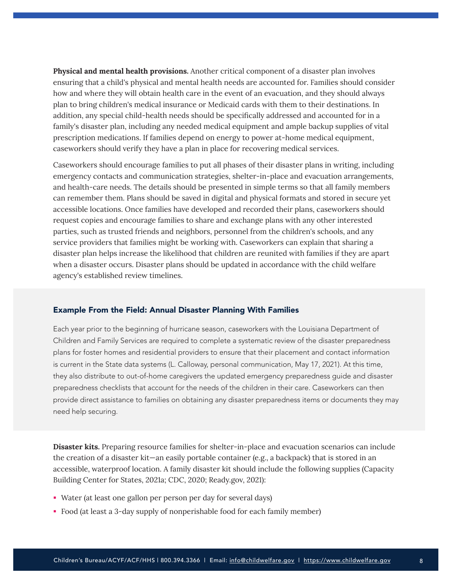**Physical and mental health provisions.** Another critical component of a disaster plan involves ensuring that a child's physical and mental health needs are accounted for. Families should consider how and where they will obtain health care in the event of an evacuation, and they should always plan to bring children's medical insurance or Medicaid cards with them to their destinations. In addition, any special child-health needs should be specifically addressed and accounted for in a family's disaster plan, including any needed medical equipment and ample backup supplies of vital prescription medications. If families depend on energy to power at-home medical equipment, caseworkers should verify they have a plan in place for recovering medical services.

Caseworkers should encourage families to put all phases of their disaster plans in writing, including emergency contacts and communication strategies, shelter-in-place and evacuation arrangements, and health-care needs. The details should be presented in simple terms so that all family members can remember them. Plans should be saved in digital and physical formats and stored in secure yet accessible locations. Once families have developed and recorded their plans, caseworkers should request copies and encourage families to share and exchange plans with any other interested parties, such as trusted friends and neighbors, personnel from the children's schools, and any service providers that families might be working with. Caseworkers can explain that sharing a disaster plan helps increase the likelihood that children are reunited with families if they are apart when a disaster occurs. Disaster plans should be updated in accordance with the child welfare agency's established review timelines.

#### Example From the Field: Annual Disaster Planning With Families

Each year prior to the beginning of hurricane season, caseworkers with the Louisiana Department of Children and Family Services are required to complete a systematic review of the disaster preparedness plans for foster homes and residential providers to ensure that their placement and contact information is current in the State data systems (L. Calloway, personal communication, May 17, 2021). At this time, they also distribute to out-of-home caregivers the updated emergency preparedness guide and disaster preparedness checklists that account for the needs of the children in their care. Caseworkers can then provide direct assistance to families on obtaining any disaster preparedness items or documents they may need help securing.

**Disaster kits.** Preparing resource families for shelter-in-place and evacuation scenarios can include the creation of a disaster kit—an easily portable container (e.g., a backpack) that is stored in an accessible, waterproof location. A family disaster kit should include the following supplies (Capacity Building Center for States, 2021a; CDC, 2020; Ready.gov, 2021):

- Water (at least one gallon per person per day for several days)
- Food (at least a 3-day supply of nonperishable food for each family member)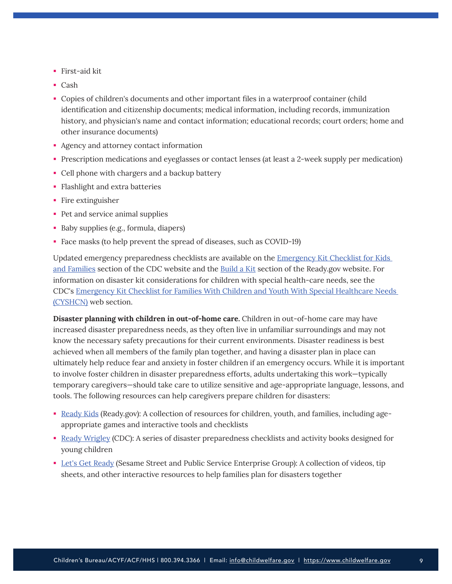- First-aid kit
- Cash
- Copies of children's documents and other important files in a waterproof container (child identification and citizenship documents; medical information, including records, immunization history, and physician's name and contact information; educational records; court orders; home and other insurance documents)
- Agency and attorney contact information
- Prescription medications and eyeglasses or contact lenses (at least a 2-week supply per medication)
- Cell phone with chargers and a backup battery
- **Flashlight and extra batteries**
- Fire extinguisher
- Pet and service animal supplies
- Baby supplies (e.g., formula, diapers)
- Face masks (to help prevent the spread of diseases, such as COVID-19)

Updated emergency preparedness checklists are available on the [Emergency Kit Checklist for Kids](https://www.cdc.gov/childrenindisasters/checklists/kids-and-families.html)  [and Families](https://www.cdc.gov/childrenindisasters/checklists/kids-and-families.html) section of the CDC website and the [Build a Kit](https://www.ready.gov/kit) section of the Ready.gov website. For information on disaster kit considerations for children with special health-care needs, see the CDC's [Emergency Kit Checklist for Families With Children and Youth With Special Healthcare Needs](https://www.cdc.gov/childrenindisasters/checklists/special-healthcare-needs.html)  [\(CYSHCN\)](https://www.cdc.gov/childrenindisasters/checklists/special-healthcare-needs.html) web section.

**Disaster planning with children in out-of-home care.** Children in out-of-home care may have increased disaster preparedness needs, as they often live in unfamiliar surroundings and may not know the necessary safety precautions for their current environments. Disaster readiness is best achieved when all members of the family plan together, and having a disaster plan in place can ultimately help reduce fear and anxiety in foster children if an emergency occurs. While it is important to involve foster children in disaster preparedness efforts, adults undertaking this work—typically temporary caregivers—should take care to utilize sensitive and age-appropriate language, lessons, and tools. The following resources can help caregivers prepare children for disasters:

- [Ready Kids](https://www.ready.gov/kids) (Ready.gov): A collection of resources for children, youth, and families, including ageappropriate games and interactive tools and checklists
- [Ready Wrigley](https://www.cdc.gov/cpr/readywrigley/) (CDC): A series of disaster preparedness checklists and activity books designed for young children
- [Let's Get Ready](https://sesamestreetincommunities.org/funder/pseg/) (Sesame Street and Public Service Enterprise Group): A collection of videos, tip sheets, and other interactive resources to help families plan for disasters together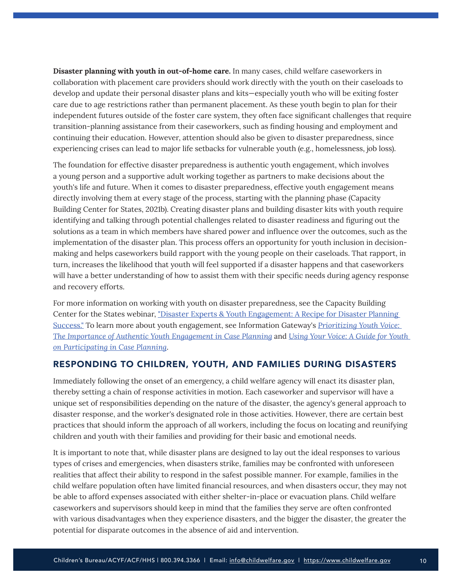<span id="page-9-0"></span>**Disaster planning with youth in out-of-home care.** In many cases, child welfare caseworkers in collaboration with placement care providers should work directly with the youth on their caseloads to develop and update their personal disaster plans and kits—especially youth who will be exiting foster care due to age restrictions rather than permanent placement. As these youth begin to plan for their independent futures outside of the foster care system, they often face significant challenges that require transition-planning assistance from their caseworkers, such as finding housing and employment and continuing their education. However, attention should also be given to disaster preparedness, since experiencing crises can lead to major life setbacks for vulnerable youth (e.g., homelessness, job loss).

The foundation for effective disaster preparedness is authentic youth engagement, which involves a young person and a supportive adult working together as partners to make decisions about the youth's life and future. When it comes to disaster preparedness, effective youth engagement means directly involving them at every stage of the process, starting with the planning phase (Capacity Building Center for States, 2021b). Creating disaster plans and building disaster kits with youth require identifying and talking through potential challenges related to disaster readiness and figuring out the solutions as a team in which members have shared power and influence over the outcomes, such as the implementation of the disaster plan. This process offers an opportunity for youth inclusion in decisionmaking and helps caseworkers build rapport with the young people on their caseloads. That rapport, in turn, increases the likelihood that youth will feel supported if a disaster happens and that caseworkers will have a better understanding of how to assist them with their specific needs during agency response and recovery efforts.

For more information on working with youth on disaster preparedness, see the Capacity Building Center for the States webinar, "[Disaster Experts & Youth Engagement: A Recipe for Disaster Planning](https://vimeo.com/596606185/ac0f198023)  [Success.](https://vimeo.com/596606185/ac0f198023)" To learn more about youth engagement, see Information Gateway's *[Prioritizing Youth Voice:](https://www.childwelfare.gov/pubs/bulletins/youth-engagement)  [The Importance of Authentic Youth Engagement in Case Planning](https://www.childwelfare.gov/pubs/bulletins/youth-engagement)* and *[Using Your Voice: A Guide for Youth](https://www.childwelfare.gov/pubs/factsheets/youth)  [on Participating in Case Planning](https://www.childwelfare.gov/pubs/factsheets/youth)*.

# RESPONDING TO CHILDREN, YOUTH, AND FAMILIES DURING DISASTERS

Immediately following the onset of an emergency, a child welfare agency will enact its disaster plan, thereby setting a chain of response activities in motion. Each caseworker and supervisor will have a unique set of responsibilities depending on the nature of the disaster, the agency's general approach to disaster response, and the worker's designated role in those activities. However, there are certain best practices that should inform the approach of all workers, including the focus on locating and reunifying children and youth with their families and providing for their basic and emotional needs.

It is important to note that, while disaster plans are designed to lay out the ideal responses to various types of crises and emergencies, when disasters strike, families may be confronted with unforeseen realities that affect their ability to respond in the safest possible manner. For example, families in the child welfare population often have limited financial resources, and when disasters occur, they may not be able to afford expenses associated with either shelter-in-place or evacuation plans. Child welfare caseworkers and supervisors should keep in mind that the families they serve are often confronted with various disadvantages when they experience disasters, and the bigger the disaster, the greater the potential for disparate outcomes in the absence of aid and intervention.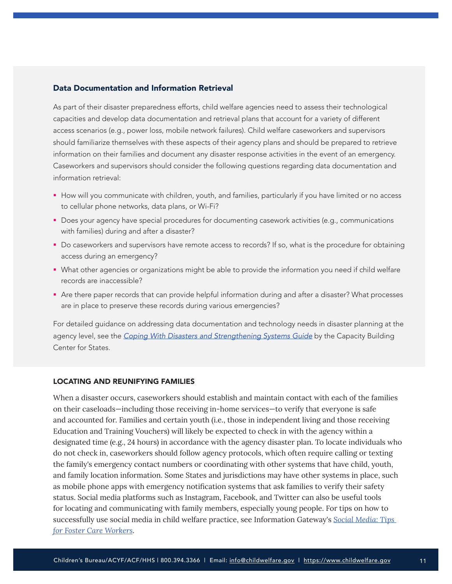## Data Documentation and Information Retrieval

As part of their disaster preparedness efforts, child welfare agencies need to assess their technological capacities and develop data documentation and retrieval plans that account for a variety of different access scenarios (e.g., power loss, mobile network failures). Child welfare caseworkers and supervisors should familiarize themselves with these aspects of their agency plans and should be prepared to retrieve information on their families and document any disaster response activities in the event of an emergency. Caseworkers and supervisors should consider the following questions regarding data documentation and information retrieval:

- How will you communicate with children, youth, and families, particularly if you have limited or no access to cellular phone networks, data plans, or Wi-Fi?
- **Does your agency have special procedures for documenting casework activities (e.g., communications** with families) during and after a disaster?
- Do caseworkers and supervisors have remote access to records? If so, what is the procedure for obtaining access during an emergency?
- What other agencies or organizations might be able to provide the information you need if child welfare records are inaccessible?
- Are there paper records that can provide helpful information during and after a disaster? What processes are in place to preserve these records during various emergencies?

For detailed guidance on addressing data documentation and technology needs in disaster planning at the agency level, see the *[Coping With Disasters and Strengthening Systems Guide](https://capacity.childwelfare.gov/states/resources/coping-guide/)* by the Capacity Building Center for States.

#### LOCATING AND REUNIFYING FAMILIES

When a disaster occurs, caseworkers should establish and maintain contact with each of the families on their caseloads—including those receiving in-home services—to verify that everyone is safe and accounted for. Families and certain youth (i.e., those in independent living and those receiving Education and Training Vouchers) will likely be expected to check in with the agency within a designated time (e.g., 24 hours) in accordance with the agency disaster plan. To locate individuals who do not check in, caseworkers should follow agency protocols, which often require calling or texting the family's emergency contact numbers or coordinating with other systems that have child, youth, and family location information. Some States and jurisdictions may have other systems in place, such as mobile phone apps with emergency notification systems that ask families to verify their safety status. Social media platforms such as Instagram, Facebook, and Twitter can also be useful tools for locating and communicating with family members, especially young people. For tips on how to successfully use social media in child welfare practice, see Information Gateway's *[Social Media: Tips](https://www.childwelfare.gov/pubs/smtips-worker/)  [for Foster Care Workers](https://www.childwelfare.gov/pubs/smtips-worker/)*.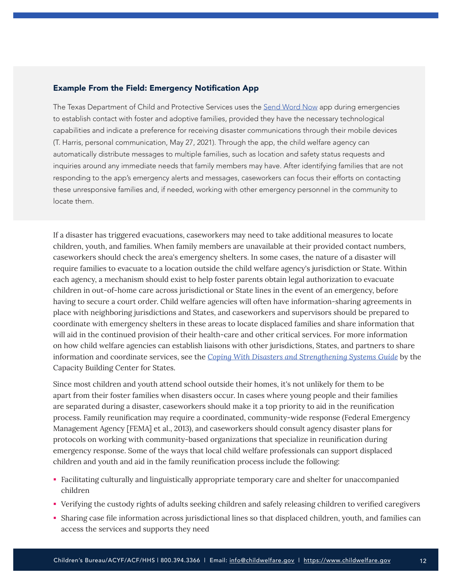## Example From the Field: Emergency Notification App

The Texas Department of Child and Protective Services uses the [Send Word Now](https://www.onsolve.com/platform-products/critical-event-management/send-word-now/) app during emergencies to establish contact with foster and adoptive families, provided they have the necessary technological capabilities and indicate a preference for receiving disaster communications through their mobile devices (T. Harris, personal communication, May 27, 2021). Through the app, the child welfare agency can automatically distribute messages to multiple families, such as location and safety status requests and inquiries around any immediate needs that family members may have. After identifying families that are not responding to the app's emergency alerts and messages, caseworkers can focus their efforts on contacting these unresponsive families and, if needed, working with other emergency personnel in the community to locate them.

If a disaster has triggered evacuations, caseworkers may need to take additional measures to locate children, youth, and families. When family members are unavailable at their provided contact numbers, caseworkers should check the area's emergency shelters. In some cases, the nature of a disaster will require families to evacuate to a location outside the child welfare agency's jurisdiction or State. Within each agency, a mechanism should exist to help foster parents obtain legal authorization to evacuate children in out-of-home care across jurisdictional or State lines in the event of an emergency, before having to secure a court order. Child welfare agencies will often have information-sharing agreements in place with neighboring jurisdictions and States, and caseworkers and supervisors should be prepared to coordinate with emergency shelters in these areas to locate displaced families and share information that will aid in the continued provision of their health-care and other critical services. For more information on how child welfare agencies can establish liaisons with other jurisdictions, States, and partners to share information and coordinate services, see the *[Coping With Disasters and Strengthening Systems Guide](https://capacity.childwelfare.gov/states/resources/coping-guide)* by the Capacity Building Center for States.

Since most children and youth attend school outside their homes, it's not unlikely for them to be apart from their foster families when disasters occur. In cases where young people and their families are separated during a disaster, caseworkers should make it a top priority to aid in the reunification process. Family reunification may require a coordinated, community-wide response (Federal Emergency Management Agency [FEMA] et al., 2013), and caseworkers should consult agency disaster plans for protocols on working with community-based organizations that specialize in reunification during emergency response. Some of the ways that local child welfare professionals can support displaced children and youth and aid in the family reunification process include the following:

- Facilitating culturally and linguistically appropriate temporary care and shelter for unaccompanied children
- Verifying the custody rights of adults seeking children and safely releasing children to verified caregivers
- Sharing case file information across jurisdictional lines so that displaced children, youth, and families can access the services and supports they need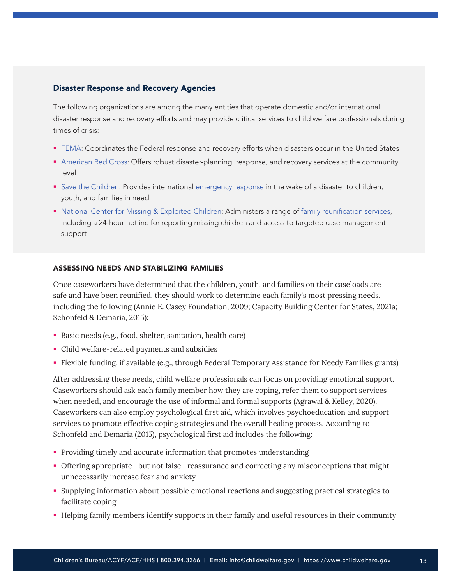## Disaster Response and Recovery Agencies

The following organizations are among the many entities that operate domestic and/or international disaster response and recovery efforts and may provide critical services to child welfare professionals during times of crisis:

- **[FEMA](https://www.fema.gov/): Coordinates the Federal response and recovery efforts when disasters occur in the United States**
- **[American Red Cross](https://www.redcross.org/): Offers robust disaster-planning, response, and recovery services at the community** level
- [Save the Children](https://www.savethechildren.org/): Provides international [emergency response](https://www.savethechildren.org/us/what-we-do/emergency-response) in the wake of a disaster to children, youth, and families in need
- [National Center for Missing & Exploited Children](https://www.missingkids.org/HOME): Administers a range of [family reunification services](https://www.missingkids.org/gethelpnow/isyourchildmissing#howncmeccanhelp), including a 24-hour hotline for reporting missing children and access to targeted case management support

## ASSESSING NEEDS AND STABILIZING FAMILIES

Once caseworkers have determined that the children, youth, and families on their caseloads are safe and have been reunified, they should work to determine each family's most pressing needs, including the following (Annie E. Casey Foundation, 2009; Capacity Building Center for States, 2021a; Schonfeld & Demaria, 2015):

- Basic needs (e.g., food, shelter, sanitation, health care)
- Child welfare-related payments and subsidies
- Flexible funding, if available (e.g., through Federal Temporary Assistance for Needy Families grants)

After addressing these needs, child welfare professionals can focus on providing emotional support. Caseworkers should ask each family member how they are coping, refer them to support services when needed, and encourage the use of informal and formal supports (Agrawal & Kelley, 2020). Caseworkers can also employ psychological first aid, which involves psychoeducation and support services to promote effective coping strategies and the overall healing process. According to Schonfeld and Demaria (2015), psychological first aid includes the following:

- Providing timely and accurate information that promotes understanding
- Offering appropriate—but not false—reassurance and correcting any misconceptions that might unnecessarily increase fear and anxiety
- Supplying information about possible emotional reactions and suggesting practical strategies to facilitate coping
- Helping family members identify supports in their family and useful resources in their community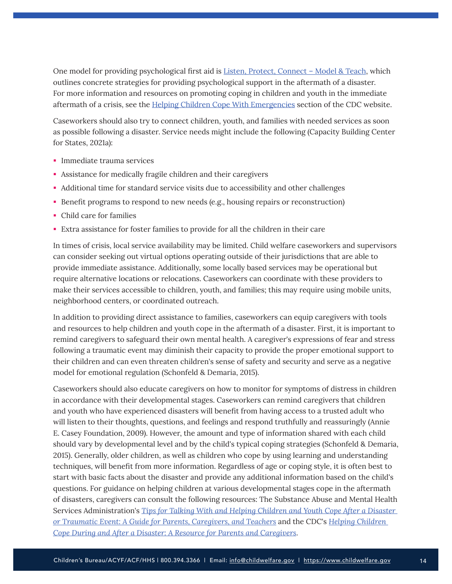One model for providing psychological first aid is **[Listen, Protect, Connect – Model & Teach](https://www.ready.gov/sites/default/files/documents/files/PFA_SchoolCrisis.pdf)**, which outlines concrete strategies for providing psychological support in the aftermath of a disaster. For more information and resources on promoting coping in children and youth in the immediate aftermath of a crisis, see the [Helping Children Cope With Emergencies](https://www.cdc.gov/childrenindisasters/helping-children-cope.html) section of the CDC website.

Caseworkers should also try to connect children, youth, and families with needed services as soon as possible following a disaster. Service needs might include the following (Capacity Building Center for States, 2021a):

- **Immediate trauma services**
- Assistance for medically fragile children and their caregivers
- Additional time for standard service visits due to accessibility and other challenges
- Benefit programs to respond to new needs (e.g., housing repairs or reconstruction)
- Child care for families
- Extra assistance for foster families to provide for all the children in their care

In times of crisis, local service availability may be limited. Child welfare caseworkers and supervisors can consider seeking out virtual options operating outside of their jurisdictions that are able to provide immediate assistance. Additionally, some locally based services may be operational but require alternative locations or relocations. Caseworkers can coordinate with these providers to make their services accessible to children, youth, and families; this may require using mobile units, neighborhood centers, or coordinated outreach.

In addition to providing direct assistance to families, caseworkers can equip caregivers with tools and resources to help children and youth cope in the aftermath of a disaster. First, it is important to remind caregivers to safeguard their own mental health. A caregiver's expressions of fear and stress following a traumatic event may diminish their capacity to provide the proper emotional support to their children and can even threaten children's sense of safety and security and serve as a negative model for emotional regulation (Schonfeld & Demaria, 2015).

Caseworkers should also educate caregivers on how to monitor for symptoms of distress in children in accordance with their developmental stages. Caseworkers can remind caregivers that children and youth who have experienced disasters will benefit from having access to a trusted adult who will listen to their thoughts, questions, and feelings and respond truthfully and reassuringly (Annie E. Casey Foundation, 2009). However, the amount and type of information shared with each child should vary by developmental level and by the child's typical coping strategies (Schonfeld & Demaria, 2015). Generally, older children, as well as children who cope by using learning and understanding techniques, will benefit from more information. Regardless of age or coping style, it is often best to start with basic facts about the disaster and provide any additional information based on the child's questions. For guidance on helping children at various developmental stages cope in the aftermath of disasters, caregivers can consult the following resources: The Substance Abuse and Mental Health Services Administration's *[Tips for Talking With and Helping Children and Youth Cope After a Disaster](https://store.samhsa.gov/sites/default/files/d7/priv/sma12-4732.pdf)  [or Traumatic Event: A Guide for Parents, Caregivers, and Teachers](https://store.samhsa.gov/sites/default/files/d7/priv/sma12-4732.pdf)* and the CDC's *[Helping Children](https://www.cdc.gov/childrenindisasters/pdf/children-coping-factsheet-508.pdf)  [Cope During and After a Disaster: A Resource for Parents and Caregivers](https://www.cdc.gov/childrenindisasters/pdf/children-coping-factsheet-508.pdf)*.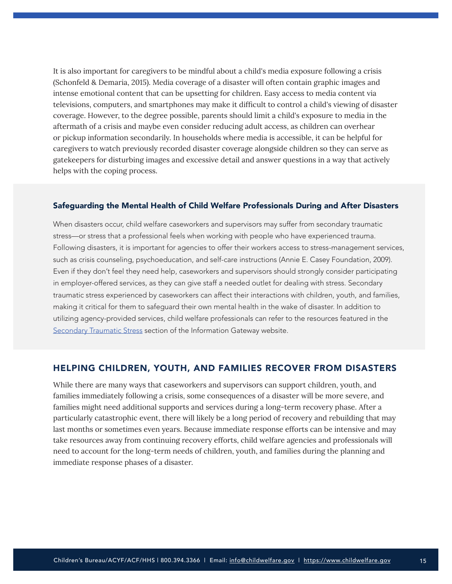<span id="page-14-0"></span>It is also important for caregivers to be mindful about a child's media exposure following a crisis (Schonfeld & Demaria, 2015). Media coverage of a disaster will often contain graphic images and intense emotional content that can be upsetting for children. Easy access to media content via televisions, computers, and smartphones may make it difficult to control a child's viewing of disaster coverage. However, to the degree possible, parents should limit a child's exposure to media in the aftermath of a crisis and maybe even consider reducing adult access, as children can overhear or pickup information secondarily. In households where media is accessible, it can be helpful for caregivers to watch previously recorded disaster coverage alongside children so they can serve as gatekeepers for disturbing images and excessive detail and answer questions in a way that actively helps with the coping process.

#### Safeguarding the Mental Health of Child Welfare Professionals During and After Disasters

When disasters occur, child welfare caseworkers and supervisors may suffer from secondary traumatic stress—or stress that a professional feels when working with people who have experienced trauma. Following disasters, it is important for agencies to offer their workers access to stress-management services, such as crisis counseling, psychoeducation, and self-care instructions (Annie E. Casey Foundation, 2009). Even if they don't feel they need help, caseworkers and supervisors should strongly consider participating in employer-offered services, as they can give staff a needed outlet for dealing with stress. Secondary traumatic stress experienced by caseworkers can affect their interactions with children, youth, and families, making it critical for them to safeguard their own mental health in the wake of disaster. In addition to utilizing agency-provided services, child welfare professionals can refer to the resources featured in the [Secondary Traumatic Stress](https://www.childwelfare.gov/topics/management/workforce/workforcewellbeing/burnout/secondary/) section of the Information Gateway website.

## HELPING CHILDREN, YOUTH, AND FAMILIES RECOVER FROM DISASTERS

While there are many ways that caseworkers and supervisors can support children, youth, and families immediately following a crisis, some consequences of a disaster will be more severe, and families might need additional supports and services during a long-term recovery phase. After a particularly catastrophic event, there will likely be a long period of recovery and rebuilding that may last months or sometimes even years. Because immediate response efforts can be intensive and may take resources away from continuing recovery efforts, child welfare agencies and professionals will need to account for the long-term needs of children, youth, and families during the planning and immediate response phases of a disaster.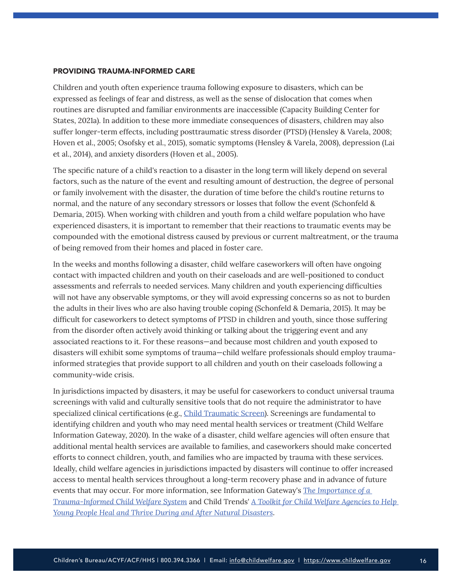#### PROVIDING TRAUMA-INFORMED CARE

Children and youth often experience trauma following exposure to disasters, which can be expressed as feelings of fear and distress, as well as the sense of dislocation that comes when routines are disrupted and familiar environments are inaccessible (Capacity Building Center for States, 2021a). In addition to these more immediate consequences of disasters, children may also suffer longer-term effects, including posttraumatic stress disorder (PTSD) (Hensley & Varela, 2008; Hoven et al., 2005; Osofsky et al., 2015), somatic symptoms (Hensley & Varela, 2008), depression (Lai et al., 2014), and anxiety disorders (Hoven et al., 2005).

The specific nature of a child's reaction to a disaster in the long term will likely depend on several factors, such as the nature of the event and resulting amount of destruction, the degree of personal or family involvement with the disaster, the duration of time before the child's routine returns to normal, and the nature of any secondary stressors or losses that follow the event (Schonfeld & Demaria, 2015). When working with children and youth from a child welfare population who have experienced disasters, it is important to remember that their reactions to traumatic events may be compounded with the emotional distress caused by previous or current maltreatment, or the trauma of being removed from their homes and placed in foster care.

In the weeks and months following a disaster, child welfare caseworkers will often have ongoing contact with impacted children and youth on their caseloads and are well-positioned to conduct assessments and referrals to needed services. Many children and youth experiencing difficulties will not have any observable symptoms, or they will avoid expressing concerns so as not to burden the adults in their lives who are also having trouble coping (Schonfeld & Demaria, 2015). It may be difficult for caseworkers to detect symptoms of PTSD in children and youth, since those suffering from the disorder often actively avoid thinking or talking about the triggering event and any associated reactions to it. For these reasons—and because most children and youth exposed to disasters will exhibit some symptoms of trauma—child welfare professionals should employ traumainformed strategies that provide support to all children and youth on their caseloads following a community-wide crisis.

In jurisdictions impacted by disasters, it may be useful for caseworkers to conduct universal trauma screenings with valid and culturally sensitive tools that do not require the administrator to have specialized clinical certifications (e.g., [Child Traumatic Screen](https://istss.org/clinical-resources/assessing-trauma/child-trauma-screen-(cts))). Screenings are fundamental to identifying children and youth who may need mental health services or treatment (Child Welfare Information Gateway, 2020). In the wake of a disaster, child welfare agencies will often ensure that additional mental health services are available to families, and caseworkers should make concerted efforts to connect children, youth, and families who are impacted by trauma with these services. Ideally, child welfare agencies in jurisdictions impacted by disasters will continue to offer increased access to mental health services throughout a long-term recovery phase and in advance of future events that may occur. For more information, see Information Gateway's *[The Importance of a](https://www.childwelfare.gov/pubs/issue-briefs/trauma-informed/)  [Trauma-Informed Child Welfare System](https://www.childwelfare.gov/pubs/issue-briefs/trauma-informed/)* and Child Trends' *[A Toolkit for Child Welfare Agencies to Help](https://www.childtrends.org/publications/toolkit-child-welfare-agencies-natural-disasters)  [Young People Heal and Thrive During and After Natural Disasters](https://www.childtrends.org/publications/toolkit-child-welfare-agencies-natural-disasters)*.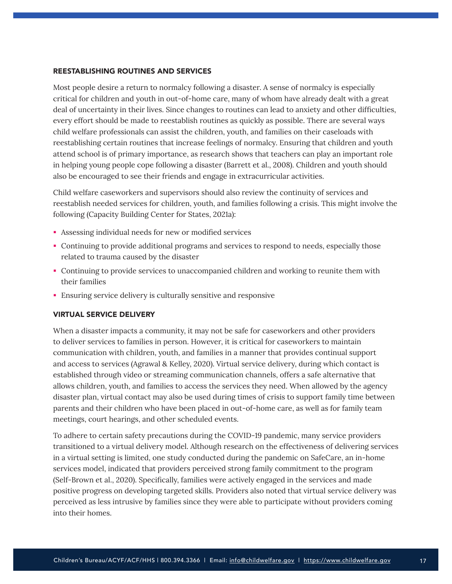## REESTABLISHING ROUTINES AND SERVICES

Most people desire a return to normalcy following a disaster. A sense of normalcy is especially critical for children and youth in out-of-home care, many of whom have already dealt with a great deal of uncertainty in their lives. Since changes to routines can lead to anxiety and other difficulties, every effort should be made to reestablish routines as quickly as possible. There are several ways child welfare professionals can assist the children, youth, and families on their caseloads with reestablishing certain routines that increase feelings of normalcy. Ensuring that children and youth attend school is of primary importance, as research shows that teachers can play an important role in helping young people cope following a disaster (Barrett et al., 2008). Children and youth should also be encouraged to see their friends and engage in extracurricular activities.

Child welfare caseworkers and supervisors should also review the continuity of services and reestablish needed services for children, youth, and families following a crisis. This might involve the following (Capacity Building Center for States, 2021a):

- Assessing individual needs for new or modified services
- Continuing to provide additional programs and services to respond to needs, especially those related to trauma caused by the disaster
- Continuing to provide services to unaccompanied children and working to reunite them with their families
- Ensuring service delivery is culturally sensitive and responsive

#### VIRTUAL SERVICE DELIVERY

When a disaster impacts a community, it may not be safe for caseworkers and other providers to deliver services to families in person. However, it is critical for caseworkers to maintain communication with children, youth, and families in a manner that provides continual support and access to services (Agrawal & Kelley, 2020). Virtual service delivery, during which contact is established through video or streaming communication channels, offers a safe alternative that allows children, youth, and families to access the services they need. When allowed by the agency disaster plan, virtual contact may also be used during times of crisis to support family time between parents and their children who have been placed in out-of-home care, as well as for family team meetings, court hearings, and other scheduled events.

To adhere to certain safety precautions during the COVID-19 pandemic, many service providers transitioned to a virtual delivery model. Although research on the effectiveness of delivering services in a virtual setting is limited, one study conducted during the pandemic on SafeCare, an in-home services model, indicated that providers perceived strong family commitment to the program (Self-Brown et al., 2020). Specifically, families were actively engaged in the services and made positive progress on developing targeted skills. Providers also noted that virtual service delivery was perceived as less intrusive by families since they were able to participate without providers coming into their homes.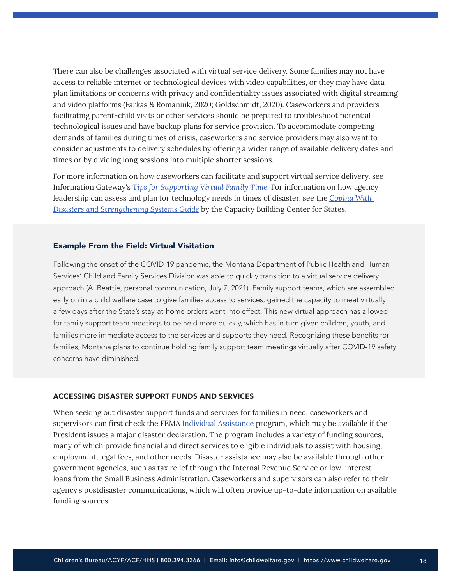There can also be challenges associated with virtual service delivery. Some families may not have access to reliable internet or technological devices with video capabilities, or they may have data plan limitations or concerns with privacy and confidentiality issues associated with digital streaming and video platforms (Farkas & Romaniuk, 2020; Goldschmidt, 2020). Caseworkers and providers facilitating parent-child visits or other services should be prepared to troubleshoot potential technological issues and have backup plans for service provision. To accommodate competing demands of families during times of crisis, caseworkers and service providers may also want to consider adjustments to delivery schedules by offering a wider range of available delivery dates and times or by dividing long sessions into multiple shorter sessions.

For more information on how caseworkers can facilitate and support virtual service delivery, see Information Gateway's *[Tips for Supporting Virtual Family Time](https://www.childwelfare.gov/pubs/bulletins-familytime/)*. For information on how agency leadership can assess and plan for technology needs in times of disaster, see the *[Coping With](https://capacity.childwelfare.gov/states/resources/coping-guide/)  [Disasters and Strengthening Systems Guide](https://capacity.childwelfare.gov/states/resources/coping-guide/)* by the Capacity Building Center for States.

## Example From the Field: Virtual Visitation

Following the onset of the COVID-19 pandemic, the Montana Department of Public Health and Human Services' Child and Family Services Division was able to quickly transition to a virtual service delivery approach (A. Beattie, personal communication, July 7, 2021). Family support teams, which are assembled early on in a child welfare case to give families access to services, gained the capacity to meet virtually a few days after the State's stay-at-home orders went into effect. This new virtual approach has allowed for family support team meetings to be held more quickly, which has in turn given children, youth, and families more immediate access to the services and supports they need. Recognizing these benefits for families, Montana plans to continue holding family support team meetings virtually after COVID-19 safety concerns have diminished.

#### ACCESSING DISASTER SUPPORT FUNDS AND SERVICES

When seeking out disaster support funds and services for families in need, caseworkers and supervisors can first check the FEMA [Individual Assistance](https://www.fema.gov/assistance/individual) program, which may be available if the President issues a major disaster declaration. The program includes a variety of funding sources, many of which provide financial and direct services to eligible individuals to assist with housing, employment, legal fees, and other needs. Disaster assistance may also be available through other government agencies, such as tax relief through the Internal Revenue Service or low-interest loans from the Small Business Administration. Caseworkers and supervisors can also refer to their agency's postdisaster communications, which will often provide up-to-date information on available funding sources.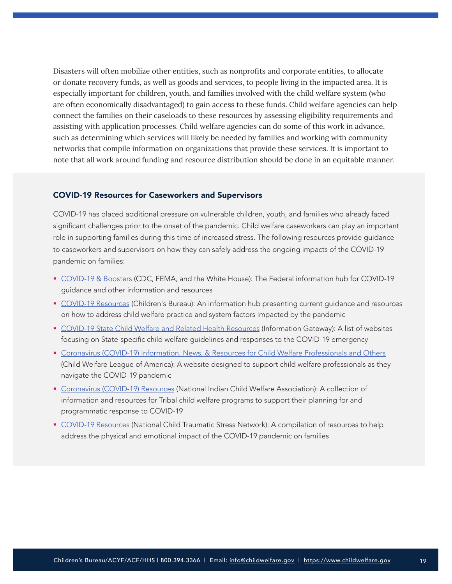Disasters will often mobilize other entities, such as nonprofits and corporate entities, to allocate or donate recovery funds, as well as goods and services, to people living in the impacted area. It is especially important for children, youth, and families involved with the child welfare system (who are often economically disadvantaged) to gain access to these funds. Child welfare agencies can help connect the families on their caseloads to these resources by assessing eligibility requirements and assisting with application processes. Child welfare agencies can do some of this work in advance, such as determining which services will likely be needed by families and working with community networks that compile information on organizations that provide these services. It is important to note that all work around funding and resource distribution should be done in an equitable manner.

## COVID-19 Resources for Caseworkers and Supervisors

COVID-19 has placed additional pressure on vulnerable children, youth, and families who already faced significant challenges prior to the onset of the pandemic. Child welfare caseworkers can play an important role in supporting families during this time of increased stress. The following resources provide guidance to caseworkers and supervisors on how they can safely address the ongoing impacts of the COVID-19 pandemic on families:

- [COVID-19 & Boosters](https://www.coronavirus.gov/) (CDC, FEMA, and the White House): The Federal information hub for COVID-19 guidance and other information and resources
- [COVID-19 Resources](https://www.acf.hhs.gov/cb/outreach-material/covid-19-resources) (Children's Bureau): An information hub presenting current guidance and resources on how to address child welfare practice and system factors impacted by the pandemic
- **[COVID-19 State Child Welfare and Related Health Resources](https://www.childwelfare.gov/organizations/?CWIGFunctionsaction=rols:main.dspList&rolType=Custom&RS_ID=177&rList=ROL) (Information Gateway): A list of websites** focusing on State-specific child welfare guidelines and responses to the COVID-19 emergency
- **[Coronavirus \(COVID-19\) Information, News, & Resources for Child Welfare Professionals and Others](https://www.cwla.org/coronavirus/)** (Child Welfare League of America): A website designed to support child welfare professionals as they navigate the COVID-19 pandemic
- [Coronavirus \(COVID-19\) Resources](https://www.nicwa.org/coronavirus/) (National Indian Child Welfare Association): A collection of information and resources for Tribal child welfare programs to support their planning for and programmatic response to COVID-19
- **[COVID-19 Resources](https://www.nctsn.org/what-is-child-trauma/trauma-types/disasters/pandemic-resources) (National Child Traumatic Stress Network): A compilation of resources to help** address the physical and emotional impact of the COVID-19 pandemic on families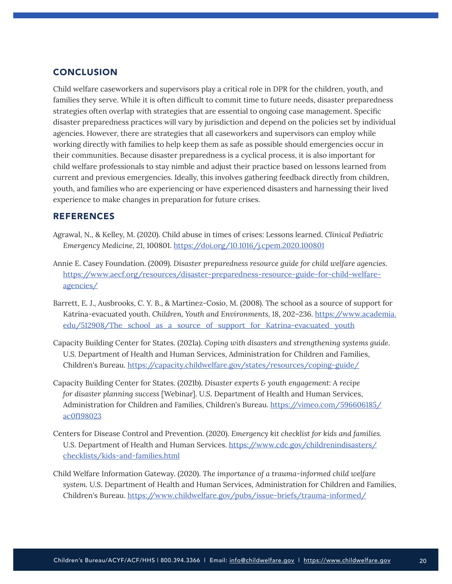# <span id="page-19-0"></span>**CONCLUSION**

Child welfare caseworkers and supervisors play a critical role in DPR for the children, youth, and families they serve. While it is often difficult to commit time to future needs, disaster preparedness strategies often overlap with strategies that are essential to ongoing case management. Specific disaster preparedness practices will vary by jurisdiction and depend on the policies set by individual agencies. However, there are strategies that all caseworkers and supervisors can employ while working directly with families to help keep them as safe as possible should emergencies occur in their communities. Because disaster preparedness is a cyclical process, it is also important for child welfare professionals to stay nimble and adjust their practice based on lessons learned from current and previous emergencies. Ideally, this involves gathering feedback directly from children, youth, and families who are experiencing or have experienced disasters and harnessing their lived experience to make changes in preparation for future crises.

## REFERENCES

- Agrawal, N., & Kelley, M. (2020). Child abuse in times of crises: Lessons learned. *Clinical Pediatric Emergency Medicine, 21*, 100801.<https://doi.org/10.1016/j.cpem.2020.100801>
- Annie E. Casey Foundation. (2009). *Disaster preparedness resource guide for child welfare agencies.* [https://www.aecf.org/resources/disaster-preparedness-resource-guide-for-child-welfare](https://www.aecf.org/resources/disaster-preparedness-resource-guide-for-child-welfare-agencies/)[agencies/](https://www.aecf.org/resources/disaster-preparedness-resource-guide-for-child-welfare-agencies/)
- Barrett, E. J., Ausbrooks, C. Y. B., & Martinez-Cosio, M. (2008). The school as a source of support for Katrina-evacuated youth. *Children, Youth and Environments, 18*, 202–236. [https://www.academia.](https://www.academia.edu/512908/The_school_as_a_source_of_support_for_Katrina-evacuated_youth) [edu/512908/The\\_school\\_as\\_a\\_source\\_of\\_support\\_for\\_Katrina-evacuated\\_youth](https://www.academia.edu/512908/The_school_as_a_source_of_support_for_Katrina-evacuated_youth)
- Capacity Building Center for States. (2021a). *Coping with disasters and strengthening systems guide*. U.S. Department of Health and Human Services, Administration for Children and Families, Children's Bureau. <https://capacity.childwelfare.gov/states/resources/coping-guide/>
- Capacity Building Center for States. (2021b). *Disaster experts & youth engagement: A recipe for disaster planning success* [Webinar]. U.S. Department of Health and Human Services, Administration for Children and Families, Children's Bureau. [https://vimeo.com/596606185/](https://vimeo.com/596606185/ac0f198023) [ac0f198023](https://vimeo.com/596606185/ac0f198023)
- Centers for Disease Control and Prevention. (2020). *Emergency kit checklist for kids and families.* U.S. Department of Health and Human Services. [https://www.cdc.gov/childrenindisasters/](https://www.cdc.gov/childrenindisasters/checklists/kids-and-families.html) [checklists/kids-and-families.html](https://www.cdc.gov/childrenindisasters/checklists/kids-and-families.html)
- Child Welfare Information Gateway. (2020). *The importance of a trauma-informed child welfare system.* U.S. Department of Health and Human Services, Administration for Children and Families, Children's Bureau. <https://www.childwelfare.gov/pubs/issue-briefs/trauma-informed/>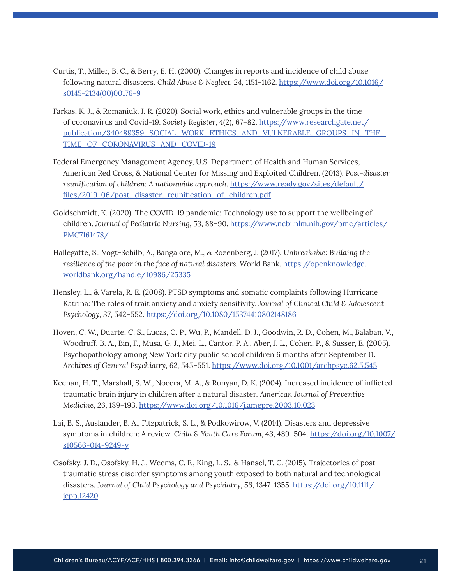- Curtis, T., Miller, B. C., & Berry, E. H. (2000). Changes in reports and incidence of child abuse following natural disasters. *Child Abuse & Neglect, 24*, 1151–1162. [https://www.doi.org/10.1016/](https://www.doi.org/10.1016/s0145-2134(00)00176-9) [s0145-2134\(00\)00176-9](https://www.doi.org/10.1016/s0145-2134(00)00176-9)
- Farkas, K. J., & Romaniuk, J. R. (2020). Social work, ethics and vulnerable groups in the time of coronavirus and Covid-19. *Society Register, 4*(2), 67–82. [https://www.researchgate.net/](https://www.researchgate.net/publication/340489359_SOCIAL_WORK_ETHICS_AND_VULNERABLE_GROUPS_IN_THE_TIME_OF_CORONAVIRUS_AND_COVID-19) [publication/340489359\\_SOCIAL\\_WORK\\_ETHICS\\_AND\\_VULNERABLE\\_GROUPS\\_IN\\_THE\\_](https://www.researchgate.net/publication/340489359_SOCIAL_WORK_ETHICS_AND_VULNERABLE_GROUPS_IN_THE_TIME_OF_CORONAVIRUS_AND_COVID-19) [TIME\\_OF\\_CORONAVIRUS\\_AND\\_COVID-19](https://www.researchgate.net/publication/340489359_SOCIAL_WORK_ETHICS_AND_VULNERABLE_GROUPS_IN_THE_TIME_OF_CORONAVIRUS_AND_COVID-19)
- Federal Emergency Management Agency, U.S. Department of Health and Human Services, American Red Cross, & National Center for Missing and Exploited Children. (2013). *Post-disaster reunification of children: A nationwide approach*. [https://www.ready.gov/sites/default/](https://www.ready.gov/sites/default/files/2019-06/post_disaster_reunification_of_children.pdf) [files/2019-06/post\\_disaster\\_reunification\\_of\\_children.pdf](https://www.ready.gov/sites/default/files/2019-06/post_disaster_reunification_of_children.pdf)
- Goldschmidt, K. (2020). The COVID-19 pandemic: Technology use to support the wellbeing of children. *Journal of Pediatric Nursing, 53*, 88–90. [https://www.ncbi.nlm.nih.gov/pmc/articles/](https://www.ncbi.nlm.nih.gov/pmc/articles/PMC7161478/) [PMC7161478/](https://www.ncbi.nlm.nih.gov/pmc/articles/PMC7161478/)
- Hallegatte, S., Vogt-Schilb, A., Bangalore, M., & Rozenberg, J. (2017). *Unbreakable: Building the resilience of the poor in the face of natural disasters.* World Bank. [https://openknowledge.](https://openknowledge.worldbank.org/handle/10986/25335) [worldbank.org/handle/10986/25335](https://openknowledge.worldbank.org/handle/10986/25335)
- Hensley, L., & Varela, R. E. (2008). PTSD symptoms and somatic complaints following Hurricane Katrina: The roles of trait anxiety and anxiety sensitivity. *Journal of Clinical Child & Adolescent Psychology, 37*, 542–552.<https://doi.org/10.1080/15374410802148186>
- Hoven, C. W., Duarte, C. S., Lucas, C. P., Wu, P., Mandell, D. J., Goodwin, R. D., Cohen, M., Balaban, V., Woodruff, B. A., Bin, F., Musa, G. J., Mei, L., Cantor, P. A., Aber, J. L., Cohen, P., & Susser, E. (2005). Psychopathology among New York city public school children 6 months after September 11. *Archives of General Psychiatry, 62*, 545–551.<https://www.doi.org/10.1001/archpsyc.62.5.545>
- Keenan, H. T., Marshall, S. W., Nocera, M. A., & Runyan, D. K. (2004). Increased incidence of inflicted traumatic brain injury in children after a natural disaster. *American Journal of Preventive Medicine, 26*, 189–193. <https://www.doi.org/10.1016/j.amepre.2003.10.023>
- Lai, B. S., Auslander, B. A., Fitzpatrick, S. L., & Podkowirow, V. (2014). Disasters and depressive symptoms in children: A review. *Child & Youth Care Forum, 43*, 489–504. [https://doi.org/10.1007/](https://doi.org/10.1007/s10566-014-9249-y) [s10566-014-9249-y](https://doi.org/10.1007/s10566-014-9249-y)
- Osofsky, J. D., Osofsky, H. J., Weems, C. F., King, L. S., & Hansel, T. C. (2015). Trajectories of posttraumatic stress disorder symptoms among youth exposed to both natural and technological disasters. *Journal of Child Psychology and Psychiatry, 56*, 1347–1355. [https://doi.org/10.1111/](https://doi.org/10.1111/jcpp.12420) [jcpp.12420](https://doi.org/10.1111/jcpp.12420)